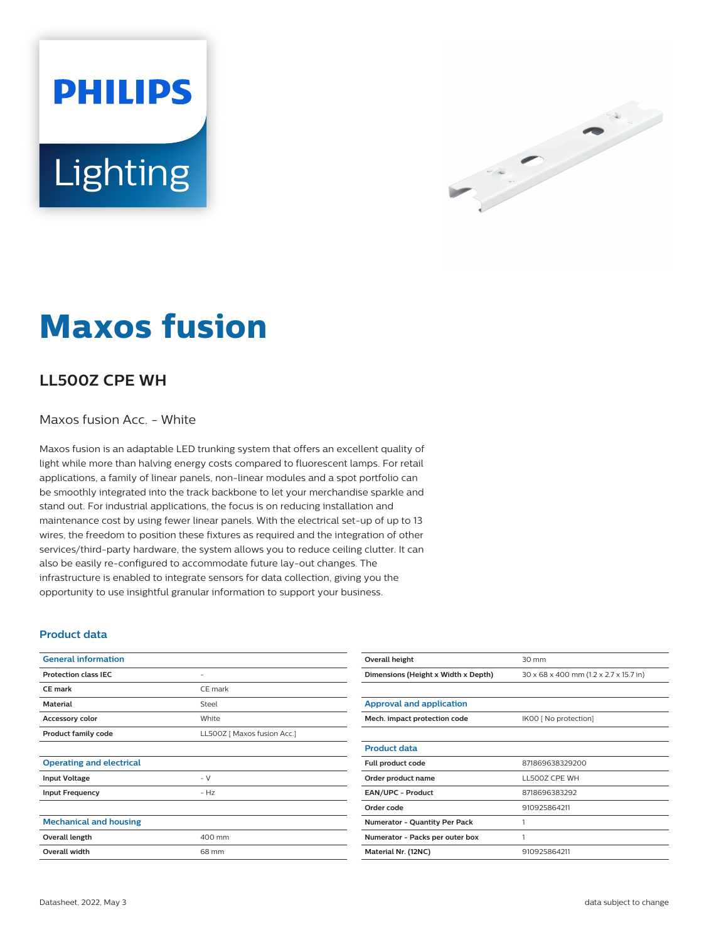Lighting

**PHILIPS** 



# **Maxos fusion**

## **LL500Z CPE WH**

#### Maxos fusion Acc. - White

Maxos fusion is an adaptable LED trunking system that offers an excellent quality of light while more than halving energy costs compared to fluorescent lamps. For retail applications, a family of linear panels, non-linear modules and a spot portfolio can be smoothly integrated into the track backbone to let your merchandise sparkle and stand out. For industrial applications, the focus is on reducing installation and maintenance cost by using fewer linear panels. With the electrical set-up of up to 13 wires, the freedom to position these fixtures as required and the integration of other services/third-party hardware, the system allows you to reduce ceiling clutter. It can also be easily re-configured to accommodate future lay-out changes. The infrastructure is enabled to integrate sensors for data collection, giving you the opportunity to use insightful granular information to support your business.

#### **Product data**

| <b>General information</b>      |                             |
|---------------------------------|-----------------------------|
| <b>Protection class IEC</b>     | -                           |
| <b>CE</b> mark                  | CE mark                     |
| <b>Material</b>                 | Steel                       |
| Accessory color                 | White                       |
| <b>Product family code</b>      | LL500Z [ Maxos fusion Acc.] |
|                                 |                             |
| <b>Operating and electrical</b> |                             |
| <b>Input Voltage</b>            | $- V$                       |
| <b>Input Frequency</b>          | $- Hz$                      |
|                                 |                             |
| <b>Mechanical and housing</b>   |                             |
| Overall length                  | 400 mm                      |
| <b>Overall width</b>            | 68 mm                       |
|                                 |                             |

| Overall height                      | 30 mm                                  |  |
|-------------------------------------|----------------------------------------|--|
| Dimensions (Height x Width x Depth) | 30 x 68 x 400 mm (1.2 x 2.7 x 15.7 in) |  |
|                                     |                                        |  |
| <b>Approval and application</b>     |                                        |  |
| Mech. impact protection code        | IK00 [ No protection]                  |  |
|                                     |                                        |  |
| <b>Product data</b>                 |                                        |  |
| Full product code                   | 871869638329200                        |  |
| Order product name                  | LL5007 CPF WH                          |  |
| <b>EAN/UPC - Product</b>            | 8718696383292                          |  |
| Order code                          | 910925864211                           |  |
| Numerator - Quantity Per Pack       | 1                                      |  |
| Numerator - Packs per outer box     | 1                                      |  |
| Material Nr. (12NC)                 | 910925864211                           |  |